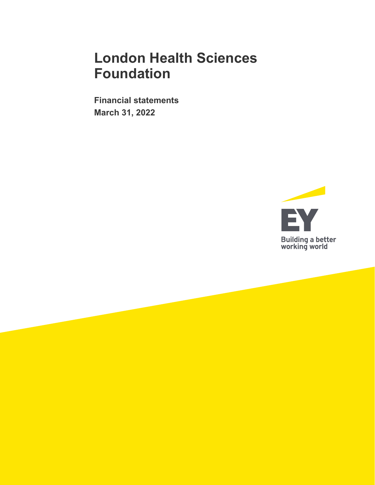**Financial statements March 31, 2022** 

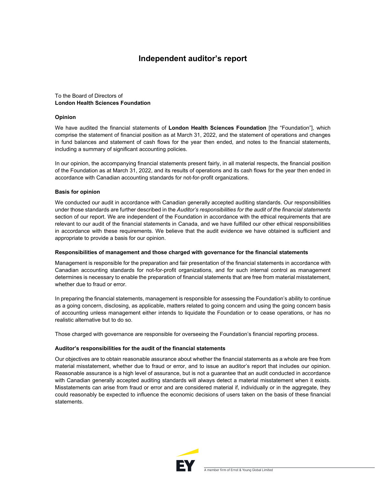### **Independent auditor's report**

#### To the Board of Directors of **London Health Sciences Foundation**

#### **Opinion**

We have audited the financial statements of **London Health Sciences Foundation** [the "Foundation"], which comprise the statement of financial position as at March 31, 2022, and the statement of operations and changes in fund balances and statement of cash flows for the year then ended, and notes to the financial statements, including a summary of significant accounting policies.

In our opinion, the accompanying financial statements present fairly, in all material respects, the financial position of the Foundation as at March 31, 2022, and its results of operations and its cash flows for the year then ended in accordance with Canadian accounting standards for not-for-profit organizations.

#### **Basis for opinion**

We conducted our audit in accordance with Canadian generally accepted auditing standards. Our responsibilities under those standards are further described in the *Auditor's responsibilities for the audit of the financial statements*  section of our report. We are independent of the Foundation in accordance with the ethical requirements that are relevant to our audit of the financial statements in Canada, and we have fulfilled our other ethical responsibilities in accordance with these requirements. We believe that the audit evidence we have obtained is sufficient and appropriate to provide a basis for our opinion.

#### **Responsibilities of management and those charged with governance for the financial statements**

Management is responsible for the preparation and fair presentation of the financial statements in accordance with Canadian accounting standards for not-for-profit organizations, and for such internal control as management determines is necessary to enable the preparation of financial statements that are free from material misstatement, whether due to fraud or error.

In preparing the financial statements, management is responsible for assessing the Foundation's ability to continue as a going concern, disclosing, as applicable, matters related to going concern and using the going concern basis of accounting unless management either intends to liquidate the Foundation or to cease operations, or has no realistic alternative but to do so.

Those charged with governance are responsible for overseeing the Foundation's financial reporting process.

#### **Auditor's responsibilities for the audit of the financial statements**

Our objectives are to obtain reasonable assurance about whether the financial statements as a whole are free from material misstatement, whether due to fraud or error, and to issue an auditor's report that includes our opinion. Reasonable assurance is a high level of assurance, but is not a guarantee that an audit conducted in accordance with Canadian generally accepted auditing standards will always detect a material misstatement when it exists. Misstatements can arise from fraud or error and are considered material if, individually or in the aggregate, they could reasonably be expected to influence the economic decisions of users taken on the basis of these financial statements.

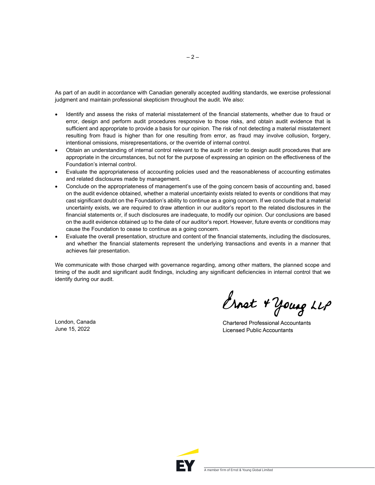As part of an audit in accordance with Canadian generally accepted auditing standards, we exercise professional judgment and maintain professional skepticism throughout the audit. We also:

- Identify and assess the risks of material misstatement of the financial statements, whether due to fraud or error, design and perform audit procedures responsive to those risks, and obtain audit evidence that is sufficient and appropriate to provide a basis for our opinion. The risk of not detecting a material misstatement resulting from fraud is higher than for one resulting from error, as fraud may involve collusion, forgery, intentional omissions, misrepresentations, or the override of internal control.
- Obtain an understanding of internal control relevant to the audit in order to design audit procedures that are appropriate in the circumstances, but not for the purpose of expressing an opinion on the effectiveness of the Foundation's internal control.
- Evaluate the appropriateness of accounting policies used and the reasonableness of accounting estimates and related disclosures made by management.
- Conclude on the appropriateness of management's use of the going concern basis of accounting and, based on the audit evidence obtained, whether a material uncertainty exists related to events or conditions that may cast significant doubt on the Foundation's ability to continue as a going concern. If we conclude that a material uncertainty exists, we are required to draw attention in our auditor's report to the related disclosures in the financial statements or, if such disclosures are inadequate, to modify our opinion. Our conclusions are based on the audit evidence obtained up to the date of our auditor's report. However, future events or conditions may cause the Foundation to cease to continue as a going concern.
- Evaluate the overall presentation, structure and content of the financial statements, including the disclosures, and whether the financial statements represent the underlying transactions and events in a manner that achieves fair presentation.

We communicate with those charged with governance regarding, among other matters, the planned scope and timing of the audit and significant audit findings, including any significant deficiencies in internal control that we identify during our audit.

London, Canada June 15, 2022

Ernst + Young LLP

**Chartered Professional Accountants Licensed Public Accountants** 

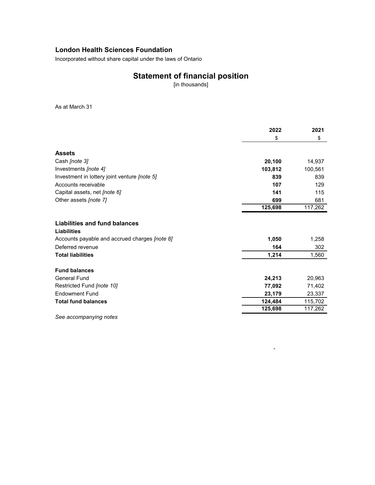Incorporated without share capital under the laws of Ontario

# **Statement of financial position**

[in thousands]

As at March 31

|                                               | 2022    | 2021               |
|-----------------------------------------------|---------|--------------------|
|                                               | \$      | \$                 |
| <b>Assets</b>                                 |         |                    |
| Cash [note 3]                                 | 20,100  | 14,937             |
| Investments [note 4]                          | 103,812 | 100,561            |
| Investment in lottery joint venture [note 5]  | 839     | 839                |
| Accounts receivable                           | 107     | 129                |
| Capital assets, net <i>[note 6]</i>           | 141     | 115                |
| Other assets [note 7]                         | 699     | 681                |
|                                               | 125,698 | 117,262            |
|                                               |         |                    |
| Liabilities and fund balances                 |         |                    |
| Liabilities                                   |         |                    |
| Accounts payable and accrued charges [note 8] | 1,050   | 1,258              |
| Deferred revenue                              | 164     | 302                |
| <b>Total liabilities</b>                      | 1,214   | 1,560              |
| <b>Fund balances</b>                          |         |                    |
| <b>General Fund</b>                           | 24,213  | 20,963             |
| Restricted Fund [note 10]                     | 77,092  | 71,402             |
| <b>Endowment Fund</b>                         | 23,179  | 23,337             |
| <b>Total fund balances</b>                    | 124,484 |                    |
|                                               | 125,698 | 115,702<br>117,262 |
|                                               |         |                    |

-

*See accompanying notes*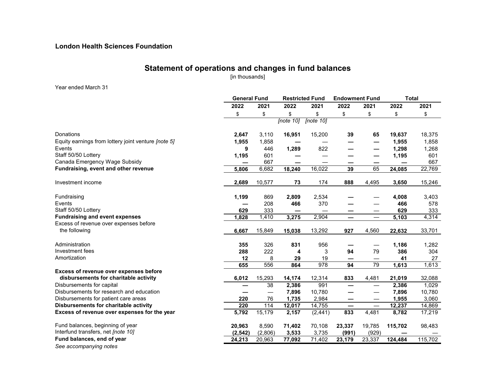# **Statement of operations and changes in fund balances**

[in thousands]

#### Year ended March 31

|                                                     |          | <b>General Fund</b><br><b>Restricted Fund</b> |              | <b>Endowment Fund</b> |        | <b>Total</b>             |         |         |
|-----------------------------------------------------|----------|-----------------------------------------------|--------------|-----------------------|--------|--------------------------|---------|---------|
|                                                     | 2022     | 2021                                          | 2022         | 2021                  | 2022   | 2021                     | 2022    | 2021    |
|                                                     | \$       | \$                                            | \$           | \$                    | \$     | \$                       | \$      | \$      |
|                                                     |          |                                               | [note $10$ ] | [note $10$ ]          |        |                          |         |         |
| Donations                                           | 2,647    | 3,110                                         | 16,951       | 15,200                | 39     | 65                       | 19,637  | 18,375  |
| Equity earnings from lottery joint venture [note 5] | 1,955    | 1,858                                         |              |                       | —      | —                        | 1,955   | 1,858   |
| Events                                              | 9        | 446                                           | 1,289        | 822                   |        |                          | 1,298   | 1,268   |
| Staff 50/50 Lottery                                 | 1,195    | 601                                           |              |                       |        | —                        | 1,195   | 601     |
| Canada Emergency Wage Subsidy                       |          | 667                                           |              |                       |        | —                        |         | 667     |
| Fundraising, event and other revenue                | 5,806    | 6,682                                         | 18,240       | 16,022                | 39     | 65                       | 24,085  | 22,769  |
| Investment income                                   | 2,689    | 10,577                                        | 73           | 174                   | 888    | 4,495                    | 3,650   | 15,246  |
| Fundraising                                         | 1,199    | 869                                           | 2,809        | 2,534                 |        |                          | 4,008   | 3,403   |
| Events                                              |          | 208                                           | 466          | 370                   |        |                          | 466     | 578     |
| Staff 50/50 Lottery                                 | 629      | 333                                           |              |                       |        |                          | 629     | 333     |
| <b>Fundraising and event expenses</b>               | 1,828    | 1,410                                         | 3,275        | 2,904                 |        | $\overline{\phantom{0}}$ | 5,103   | 4,314   |
| Excess of revenue over expenses before              |          |                                               |              |                       |        |                          |         |         |
| the following                                       | 6,667    | 15,849                                        | 15,038       | 13,292                | 927    | 4,560                    | 22,632  | 33,701  |
| Administration                                      | 355      | 326                                           | 831          | 956                   |        | $\overline{\phantom{0}}$ | 1,186   | 1,282   |
| Investment fees                                     | 288      | 222                                           | 4            | 3                     | 94     | 79                       | 386     | 304     |
| Amortization                                        | 12       | 8                                             | 29           | 19                    |        | —                        | 41      | 27      |
|                                                     | 655      | 556                                           | 864          | 978                   | 94     | $\overline{79}$          | 1,613   | 1,613   |
| <b>Excess of revenue over expenses before</b>       |          |                                               |              |                       |        |                          |         |         |
| disbursements for charitable activity               | 6,012    | 15,293                                        | 14,174       | 12,314                | 833    | 4,481                    | 21,019  | 32,088  |
| Disbursements for capital                           |          | 38                                            | 2,386        | 991                   | —      |                          | 2,386   | 1,029   |
| Disbursements for research and education            |          |                                               | 7,896        | 10,780                |        | —                        | 7,896   | 10,780  |
| Disbursements for patient care areas                | 220      | 76                                            | 1,735        | 2,984                 |        | —                        | 1,955   | 3,060   |
| Disbursements for charitable activity               | 220      | 114                                           | 12,017       | 14,755                | —      |                          | 12,237  | 14,869  |
| Excess of revenue over expenses for the year        | 5,792    | 15,179                                        | 2,157        | (2, 441)              | 833    | 4,481                    | 8,782   | 17,219  |
| Fund balances, beginning of year                    | 20,963   | 8,590                                         | 71,402       | 70,108                | 23,337 | 19,785                   | 115,702 | 98,483  |
| Interfund transfers, net [note 10]                  | (2, 542) | (2,806)                                       | 3,533        | 3,735                 | (991)  | (929)                    |         |         |
| Fund balances, end of year                          | 24,213   | 20,963                                        | 77,092       | 71,402                | 23,179 | 23,337                   | 124,484 | 115,702 |
| See accompanying notes                              |          |                                               |              |                       |        |                          |         |         |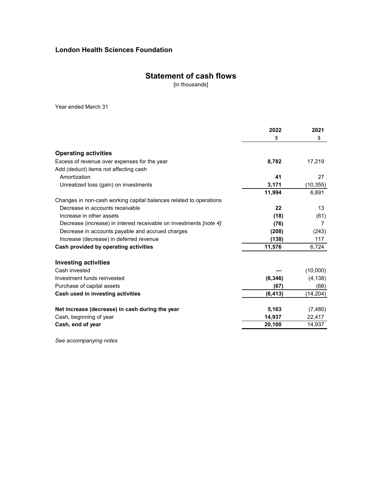### **Statement of cash flows**

[in thousands]

Year ended March 31

|                                                                    | 2022     | 2021      |
|--------------------------------------------------------------------|----------|-----------|
|                                                                    | \$       | \$        |
| <b>Operating activities</b>                                        |          |           |
| Excess of revenue over expenses for the year                       | 8,782    | 17,219    |
| Add (deduct) items not affecting cash                              |          |           |
| Amortization                                                       | 41       | 27        |
| Unrealized loss (gain) on investments                              | 3,171    | (10, 355) |
|                                                                    | 11,994   | 6,891     |
| Changes in non-cash working capital balances related to operations |          |           |
| Decrease in accounts receivable                                    | 22       | 13        |
| Increase in other assets                                           | (18)     | (61)      |
| Decrease (increase) in interest receivable on investments [note 4] | (76)     | 7         |
| Decrease in accounts payable and accrued charges                   | (208)    | (243)     |
| Increase (decrease) in deferred revenue                            | (138)    | 117       |
| Cash provided by operating activities                              | 11,576   | 6,724     |
| <b>Investing activities</b>                                        |          |           |
| Cash invested                                                      |          | (10,000)  |
| Investment funds reinvested                                        | (6, 346) | (4, 138)  |
| Purchase of capital assets                                         | (67)     | (66)      |
| Cash used in investing activities                                  | (6, 413) | (14, 204) |
| Net increase (decrease) in cash during the year                    | 5,163    | (7, 480)  |
| Cash, beginning of year                                            | 14,937   | 22,417    |
| Cash, end of year                                                  | 20,100   | 14,937    |

*See accompanying notes*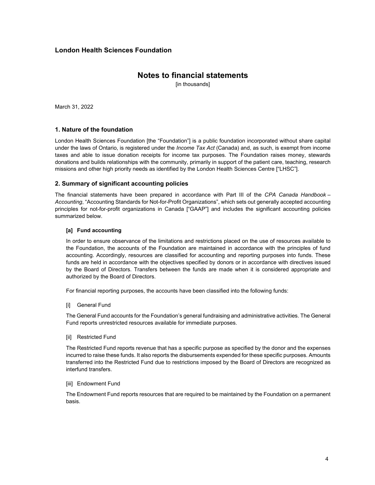### **Notes to financial statements**

[in thousands]

March 31, 2022

#### **1. Nature of the foundation**

London Health Sciences Foundation [the "Foundation"] is a public foundation incorporated without share capital under the laws of Ontario, is registered under the *Income Tax Act* (Canada) and, as such, is exempt from income taxes and able to issue donation receipts for income tax purposes. The Foundation raises money, stewards donations and builds relationships with the community, primarily in support of the patient care, teaching, research missions and other high priority needs as identified by the London Health Sciences Centre ["LHSC"].

#### **2. Summary of significant accounting policies**

The financial statements have been prepared in accordance with Part III of the *CPA Canada Handbook – Accounting*, "Accounting Standards for Not-for-Profit Organizations", which sets out generally accepted accounting principles for not-for-profit organizations in Canada ["GAAP"] and includes the significant accounting policies summarized below.

#### **[a] Fund accounting**

In order to ensure observance of the limitations and restrictions placed on the use of resources available to the Foundation, the accounts of the Foundation are maintained in accordance with the principles of fund accounting. Accordingly, resources are classified for accounting and reporting purposes into funds. These funds are held in accordance with the objectives specified by donors or in accordance with directives issued by the Board of Directors. Transfers between the funds are made when it is considered appropriate and authorized by the Board of Directors.

For financial reporting purposes, the accounts have been classified into the following funds:

[i] General Fund

The General Fund accounts for the Foundation's general fundraising and administrative activities. The General Fund reports unrestricted resources available for immediate purposes.

[ii] Restricted Fund

The Restricted Fund reports revenue that has a specific purpose as specified by the donor and the expenses incurred to raise these funds. It also reports the disbursements expended for these specific purposes. Amounts transferred into the Restricted Fund due to restrictions imposed by the Board of Directors are recognized as interfund transfers.

*<u>Iiil Endowment Fund</u>* 

The Endowment Fund reports resources that are required to be maintained by the Foundation on a permanent basis.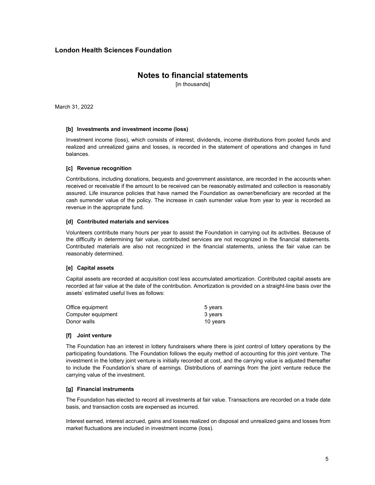### **Notes to financial statements**

[in thousands]

March 31, 2022

#### **[b] Investments and investment income (loss)**

Investment income (loss), which consists of interest, dividends, income distributions from pooled funds and realized and unrealized gains and losses, is recorded in the statement of operations and changes in fund balances.

#### **[c] Revenue recognition**

Contributions, including donations, bequests and government assistance, are recorded in the accounts when received or receivable if the amount to be received can be reasonably estimated and collection is reasonably assured. Life insurance policies that have named the Foundation as owner/beneficiary are recorded at the cash surrender value of the policy. The increase in cash surrender value from year to year is recorded as revenue in the appropriate fund.

#### **[d] Contributed materials and services**

Volunteers contribute many hours per year to assist the Foundation in carrying out its activities. Because of the difficulty in determining fair value, contributed services are not recognized in the financial statements. Contributed materials are also not recognized in the financial statements, unless the fair value can be reasonably determined.

#### **[e] Capital assets**

Capital assets are recorded at acquisition cost less accumulated amortization. Contributed capital assets are recorded at fair value at the date of the contribution. Amortization is provided on a straight-line basis over the assets' estimated useful lives as follows:

| Office equipment   | 5 years  |
|--------------------|----------|
| Computer equipment | 3 vears  |
| Donor walls        | 10 vears |

#### **[f] Joint venture**

The Foundation has an interest in lottery fundraisers where there is joint control of lottery operations by the participating foundations. The Foundation follows the equity method of accounting for this joint venture. The investment in the lottery joint venture is initially recorded at cost, and the carrying value is adjusted thereafter to include the Foundation's share of earnings. Distributions of earnings from the joint venture reduce the carrying value of the investment.

#### **[g] Financial instruments**

The Foundation has elected to record all investments at fair value. Transactions are recorded on a trade date basis, and transaction costs are expensed as incurred.

Interest earned, interest accrued, gains and losses realized on disposal and unrealized gains and losses from market fluctuations are included in investment income (loss).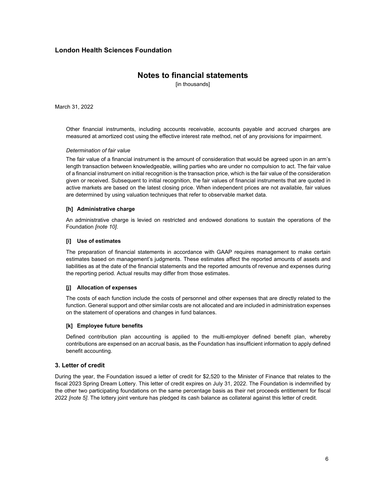### **Notes to financial statements**

[in thousands]

March 31, 2022

Other financial instruments, including accounts receivable, accounts payable and accrued charges are measured at amortized cost using the effective interest rate method, net of any provisions for impairment.

#### *Determination of fair value*

The fair value of a financial instrument is the amount of consideration that would be agreed upon in an arm's length transaction between knowledgeable, willing parties who are under no compulsion to act. The fair value of a financial instrument on initial recognition is the transaction price, which is the fair value of the consideration given or received. Subsequent to initial recognition, the fair values of financial instruments that are quoted in active markets are based on the latest closing price. When independent prices are not available, fair values are determined by using valuation techniques that refer to observable market data.

#### **[h] Administrative charge**

An administrative charge is levied on restricted and endowed donations to sustain the operations of the Foundation *[note 10]*.

#### **[i] Use of estimates**

The preparation of financial statements in accordance with GAAP requires management to make certain estimates based on management's judgments. These estimates affect the reported amounts of assets and liabilities as at the date of the financial statements and the reported amounts of revenue and expenses during the reporting period. Actual results may differ from those estimates.

#### **[j] Allocation of expenses**

The costs of each function include the costs of personnel and other expenses that are directly related to the function. General support and other similar costs are not allocated and are included in administration expenses on the statement of operations and changes in fund balances.

#### **[k] Employee future benefits**

Defined contribution plan accounting is applied to the multi-employer defined benefit plan, whereby contributions are expensed on an accrual basis, as the Foundation has insufficient information to apply defined benefit accounting.

#### **3. Letter of credit**

During the year, the Foundation issued a letter of credit for \$2,520 to the Minister of Finance that relates to the fiscal 2023 Spring Dream Lottery. This letter of credit expires on July 31, 2022. The Foundation is indemnified by the other two participating foundations on the same percentage basis as their net proceeds entitlement for fiscal 2022 *[note 5]*. The lottery joint venture has pledged its cash balance as collateral against this letter of credit.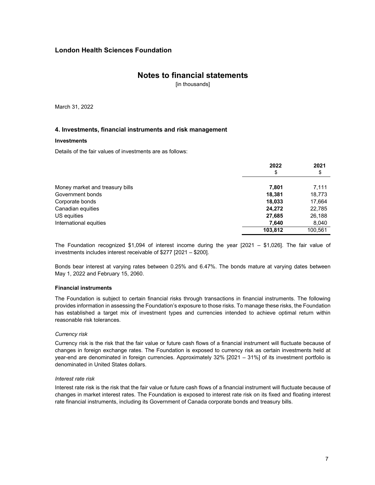### **Notes to financial statements**

[in thousands]

March 31, 2022

#### **4. Investments, financial instruments and risk management**

#### **Investments**

Details of the fair values of investments are as follows:

|                                 | 2022    | 2021    |
|---------------------------------|---------|---------|
|                                 | \$      | \$      |
| Money market and treasury bills | 7,801   | 7,111   |
| Government bonds                | 18,381  | 18,773  |
| Corporate bonds                 | 18,033  | 17,664  |
| Canadian equities               | 24,272  | 22,785  |
| US equities                     | 27,685  | 26,188  |
| International equities          | 7,640   | 8,040   |
|                                 | 103,812 | 100.561 |

The Foundation recognized \$1,094 of interest income during the year [2021 – \$1,026]. The fair value of investments includes interest receivable of \$277 [2021 – \$200].

Bonds bear interest at varying rates between 0.25% and 6.47%. The bonds mature at varying dates between May 1, 2022 and February 15, 2060.

#### **Financial instruments**

The Foundation is subject to certain financial risks through transactions in financial instruments. The following provides information in assessing the Foundation's exposure to those risks. To manage these risks, the Foundation has established a target mix of investment types and currencies intended to achieve optimal return within reasonable risk tolerances.

#### *Currency risk*

Currency risk is the risk that the fair value or future cash flows of a financial instrument will fluctuate because of changes in foreign exchange rates. The Foundation is exposed to currency risk as certain investments held at year-end are denominated in foreign currencies. Approximately 32% [2021 – 31%] of its investment portfolio is denominated in United States dollars.

#### *Interest rate risk*

Interest rate risk is the risk that the fair value or future cash flows of a financial instrument will fluctuate because of changes in market interest rates. The Foundation is exposed to interest rate risk on its fixed and floating interest rate financial instruments, including its Government of Canada corporate bonds and treasury bills.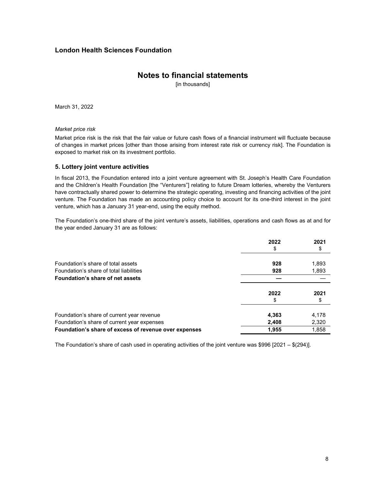### **Notes to financial statements**

[in thousands]

March 31, 2022

*Market price risk*

Market price risk is the risk that the fair value or future cash flows of a financial instrument will fluctuate because of changes in market prices [other than those arising from interest rate risk or currency risk]. The Foundation is exposed to market risk on its investment portfolio.

#### **5. Lottery joint venture activities**

In fiscal 2013, the Foundation entered into a joint venture agreement with St. Joseph's Health Care Foundation and the Children's Health Foundation [the "Venturers"] relating to future Dream lotteries, whereby the Venturers have contractually shared power to determine the strategic operating, investing and financing activities of the joint venture. The Foundation has made an accounting policy choice to account for its one-third interest in the joint venture, which has a January 31 year-end, using the equity method.

The Foundation's one-third share of the joint venture's assets, liabilities, operations and cash flows as at and for the year ended January 31 are as follows:

|                                                                                                      | 2022<br>S      | 2021<br>\$     |
|------------------------------------------------------------------------------------------------------|----------------|----------------|
| Foundation's share of total assets<br>Foundation's share of total liabilities                        | 928<br>928     | 1,893<br>1,893 |
| Foundation's share of net assets                                                                     |                |                |
|                                                                                                      | 2022<br>S      | 2021<br>\$     |
| Foundation's share of current year revenue                                                           | 4,363          | 4,178          |
| Foundation's share of current year expenses<br>Foundation's share of excess of revenue over expenses | 2,408<br>1,955 | 2,320<br>1,858 |

The Foundation's share of cash used in operating activities of the joint venture was \$996 [2021 – \$(294)].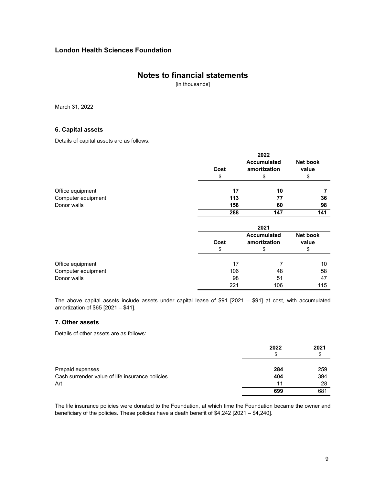### **Notes to financial statements**

[in thousands]

March 31, 2022

#### **6. Capital assets**

Details of capital assets are as follows:

|                    |      | 2022                               |                          |
|--------------------|------|------------------------------------|--------------------------|
|                    | Cost | <b>Accumulated</b><br>amortization | <b>Net book</b><br>value |
|                    | \$   | \$                                 | \$                       |
| Office equipment   | 17   | 10                                 |                          |
| Computer equipment | 113  | 77                                 | 36                       |
| Donor walls        | 158  | 60                                 | 98                       |
|                    | 288  | 147                                | 141                      |
|                    |      | 2021                               |                          |
|                    | Cost | <b>Accumulated</b><br>amortization | <b>Net book</b><br>value |
|                    | \$   | \$                                 | \$                       |
| Office equipment   | 17   | 7                                  | 10                       |
| Computer equipment | 106  | 48                                 | 58                       |
| Donor walls        | 98   | 51                                 | 47                       |
|                    | 221  | 106                                | 115                      |

The above capital assets include assets under capital lease of \$91 [2021 – \$91] at cost, with accumulated amortization of \$65 [2021 – \$41].

#### **7. Other assets**

Details of other assets are as follows:

|                                                 | 2022<br>\$ | 2021<br>S |
|-------------------------------------------------|------------|-----------|
| Prepaid expenses                                | 284        | 259       |
| Cash surrender value of life insurance policies | 404        | 394       |
| Art                                             | 11         | 28        |
|                                                 | 699        | 681       |

The life insurance policies were donated to the Foundation, at which time the Foundation became the owner and beneficiary of the policies. These policies have a death benefit of \$4,242 [2021 – \$4,240].